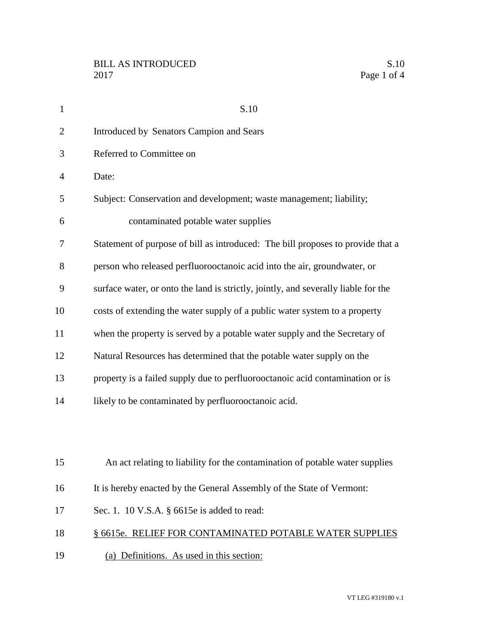| $\mathbf{1}$   | S.10                                                                               |
|----------------|------------------------------------------------------------------------------------|
| $\overline{2}$ | <b>Introduced by Senators Campion and Sears</b>                                    |
| 3              | Referred to Committee on                                                           |
| $\overline{4}$ | Date:                                                                              |
| 5              | Subject: Conservation and development; waste management; liability;                |
| 6              | contaminated potable water supplies                                                |
| 7              | Statement of purpose of bill as introduced: The bill proposes to provide that a    |
| 8              | person who released perfluorooctanoic acid into the air, groundwater, or           |
| 9              | surface water, or onto the land is strictly, jointly, and severally liable for the |
| 10             | costs of extending the water supply of a public water system to a property         |
| 11             | when the property is served by a potable water supply and the Secretary of         |
| 12             | Natural Resources has determined that the potable water supply on the              |
| 13             | property is a failed supply due to perfluorooctanoic acid contamination or is      |
| 14             | likely to be contaminated by perfluorooctanoic acid.                               |
|                |                                                                                    |
|                |                                                                                    |
| 15             | An act relating to liability for the contamination of potable water supplies       |
| 16             | It is hereby enacted by the General Assembly of the State of Vermont:              |
| 17             | Sec. 1. 10 V.S.A. § 6615e is added to read:                                        |
| 18             | § 6615e. RELIEF FOR CONTAMINATED POTABLE WATER SUPPLIES                            |
| 19             | (a) Definitions. As used in this section:                                          |
|                |                                                                                    |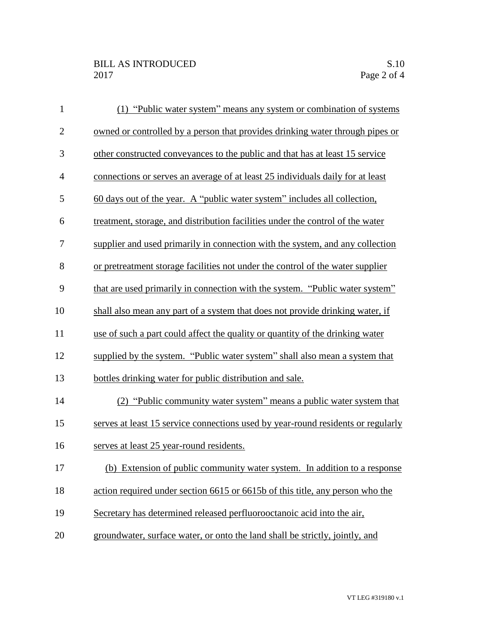| $\mathbf{1}$   | (1) "Public water system" means any system or combination of systems             |
|----------------|----------------------------------------------------------------------------------|
| $\overline{2}$ | owned or controlled by a person that provides drinking water through pipes or    |
| 3              | other constructed conveyances to the public and that has at least 15 service     |
| $\overline{4}$ | connections or serves an average of at least 25 individuals daily for at least   |
| 5              | 60 days out of the year. A "public water system" includes all collection,        |
| 6              | treatment, storage, and distribution facilities under the control of the water   |
| 7              | supplier and used primarily in connection with the system, and any collection    |
| 8              | or pretreatment storage facilities not under the control of the water supplier   |
| 9              | that are used primarily in connection with the system. "Public water system"     |
| 10             | shall also mean any part of a system that does not provide drinking water, if    |
| 11             | use of such a part could affect the quality or quantity of the drinking water    |
| 12             | supplied by the system. "Public water system" shall also mean a system that      |
| 13             | bottles drinking water for public distribution and sale.                         |
| 14             | (2) "Public community water system" means a public water system that             |
| 15             | serves at least 15 service connections used by year-round residents or regularly |
| 16             | serves at least 25 year-round residents.                                         |
| 17             | (b) Extension of public community water system. In addition to a response        |
| 18             | action required under section 6615 or 6615b of this title, any person who the    |
| 19             | Secretary has determined released perfluorooctanoic acid into the air,           |
| 20             | groundwater, surface water, or onto the land shall be strictly, jointly, and     |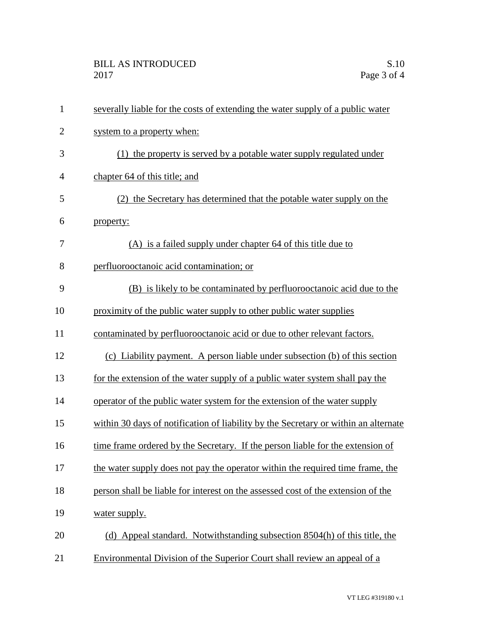| $\mathbf{1}$ | severally liable for the costs of extending the water supply of a public water      |
|--------------|-------------------------------------------------------------------------------------|
| $\mathbf{2}$ | system to a property when:                                                          |
| 3            | (1) the property is served by a potable water supply regulated under                |
| 4            | chapter 64 of this title; and                                                       |
| 5            | (2) the Secretary has determined that the potable water supply on the               |
| 6            | property:                                                                           |
| 7            | (A) is a failed supply under chapter 64 of this title due to                        |
| 8            | perfluorooctanoic acid contamination; or                                            |
| 9            | (B) is likely to be contaminated by perfluorooctanoic acid due to the               |
| 10           | proximity of the public water supply to other public water supplies                 |
| 11           | contaminated by perfluorooctanoic acid or due to other relevant factors.            |
| 12           | (c) Liability payment. A person liable under subsection (b) of this section         |
| 13           | for the extension of the water supply of a public water system shall pay the        |
| 14           | operator of the public water system for the extension of the water supply           |
| 15           | within 30 days of notification of liability by the Secretary or within an alternate |
| 16           | time frame ordered by the Secretary. If the person liable for the extension of      |
| 17           | the water supply does not pay the operator within the required time frame, the      |
| 18           | person shall be liable for interest on the assessed cost of the extension of the    |
| 19           | water supply.                                                                       |
| 20           | (d) Appeal standard. Notwithstanding subsection 8504(h) of this title, the          |
| 21           | Environmental Division of the Superior Court shall review an appeal of a            |